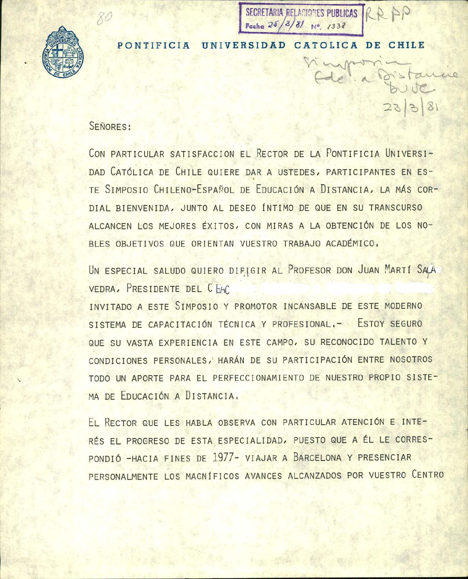

PONTIFICIA UNIVERSIDAD CATOLICA DE CHILE

Fecha  $2<sub>0</sub>$ 

SECRETARIA RELACIONES PUBLICAS | R

## SEÑORES:

CON PARTICULAR SATISFACCION EL RECTOR DE LA PONTIFICIA UNIVERSI-DAD CATÓLICA DE CHILE QUIERE DAR A USTEDES, PARTICIPANTES EN ES-TE SIMPOSIO CHILENO-ESPAÑOL DE EDUCACIÓN A DISTANCIA, LA MÁS COR-DIAL BIENVENIDA, JUNTO AL DESEO ÍNTIMO DE QUE EN SU TRANSCURSO ALCANCEN LOS MEJORES ÉXITOS, CON MIRAS A LA OBTENCIÓN DE LOS NO-BLES OBJETIVOS QUE ORIENTAN VUESTRO TRABAJO ACADÉMICO.

UN ESPECIAL SALUDO QUIERO DIFIGIR AL PROFESOR DON JUAN MARTÍ SALA VEDRA, PRESIDENTE DEL CHAC

INVITADO A ESTE SIMPOSIO Y PROMOTOR INCANSABLE DE ESTE MODERNO SISTEMA DE CAPACITACIÓN TÉCNICA Y PROFESIONAL. - ESTOY SEGURO QUE SU VASTA EXPERIENCIA EN ESTE CAMPO, SU RECONOCIDO TALENTO Y CONDICIONES PERSONALES, HARÁN DE SU PARTICIPACIÓN ENTRE NOSOTROS TODO UN APORTE PARA EL PERFECCIONAMIENTO DE NUESTRO PROPIO SISTE-MA DE EDUCACIÓN A DISTANCIA.

EL RECTOR QUE LES HABLA OBSERVA CON PARTICULAR ATENCIÓN E INTE-RÉS EL PROGRESO DE ESTA ESPECIALIDAD, PUESTO QUE A ÉL LE CORRES-PONDIÓ - HACIA FINES DE 1977- VIAJAR A BARCELONA Y PRESENCIAR PERSONALMENTE LOS MAGNÍFICOS AVANCES ALCANZADOS POR VUESTRO CENTRO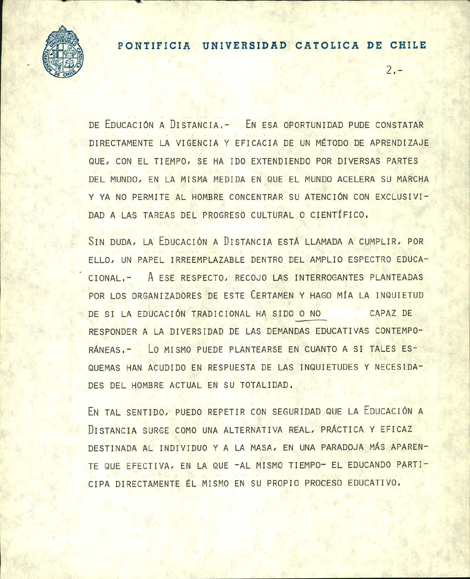

## **PONTIFICIA UNIVERSIDAD CATOLICA DE CHILE**

 $2 -$ 

DE EDUCACIÓN A DISTANCIA, - EN ESA OPORTUNIDAD PUDE CONSTATAR DIRECTAMENTE LA VIGENCIA Y EFICACIA DE UN METODO DE APRENDIZAJE QUE, CON EL TIEMPO, SE HA IDO EXTENDIENDO POR DIVERSAS PARTES DEL MUNDO, EN LA MISMA MEDIDA EN QUE EL MUNDO ACELERA SU MARCHA Y YA NO PERMITE AL HOMBRE CONCENTRAR SU ATENCIÓN CON EXCLUSIVI-DAD A LAS TAREAS DEL PROGRESO CULTURAL 0 CIENTIFICO,

SIN DUDA, LA EDUCACIÓN A DISTANCIA ESTÁ LLAMADA A CUMPLIR, POR ELLO, UN PAPEL IRREEMPLAZABLE DENTRO DEL AMPLIO ESPECTRO EDUCA-CIONAL1- A ESE RESPECTO, RECOJO LAS INTERROGANTES PLANTEADAS POR LOS ORGANIZADORES DE ESTE CERTAMEN Y HAGO MfA LA INQUIETUD DE SI LA EDUCACIÓN TRADICIONAL HA SIDO O NO CAPAZ DE RESPONDER A LA DIVERSIDAD DE LAS DEMANDAS EDUCATIVAS CONTEMPO-RÁNEAS. - LO MISMO PUEDE PLANTEARSE EN CUANTO A SI TALES ES-QUEMAS HAN ACUDIDO EN RESPUESTA DE LAS INQUIETUDES Y NECESIDA-DES DEL HOMBRE ACTUAL EN SU TOTALIDAD,

EN TAL SENTIDO, PUEDO REPETIR CON SEGURIDAD QUE LA EDUCACIÓN A DISTANCIA SURGE COMO UNA ALTERNATIVA REAL, PRÁCTICA Y EFICAZ DESTINADA AL INDIVIDUO Y A LA MASA, EN UNA PARADOJA MÁS APAREN-TE QUE EFECTIVA, EN LA QUE - AL MISMO TIEMPO- EL EDUCANDO PARTI-CIPA DIRECTAMENTE EL MISMO EN SU PROPIO PROCESO EDUCATIVO.